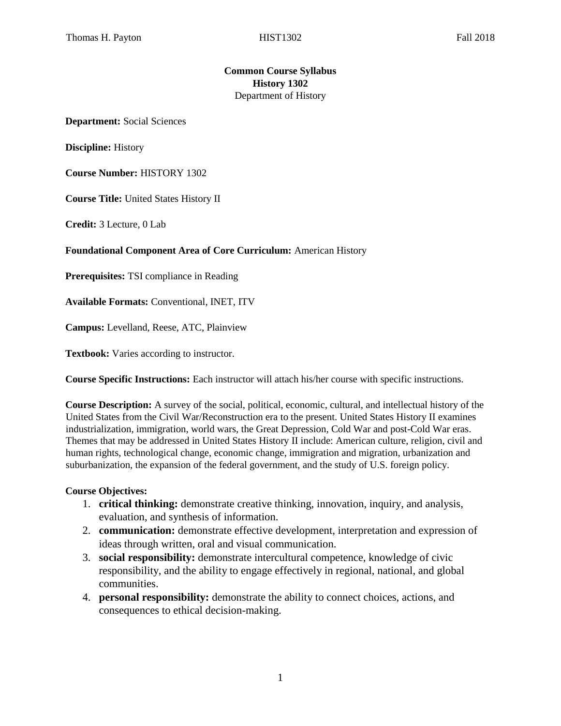## **Common Course Syllabus History 1302**  Department of History

**Department:** Social Sciences

**Discipline:** History

**Course Number:** HISTORY 1302

**Course Title:** United States History II

**Credit:** 3 Lecture, 0 Lab

#### **Foundational Component Area of Core Curriculum:** American History

**Prerequisites:** TSI compliance in Reading

**Available Formats:** Conventional, INET, ITV

**Campus:** Levelland, Reese, ATC, Plainview

**Textbook:** Varies according to instructor.

**Course Specific Instructions:** Each instructor will attach his/her course with specific instructions.

**Course Description:** A survey of the social, political, economic, cultural, and intellectual history of the United States from the Civil War/Reconstruction era to the present. United States History II examines industrialization, immigration, world wars, the Great Depression, Cold War and post-Cold War eras. Themes that may be addressed in United States History II include: American culture, religion, civil and human rights, technological change, economic change, immigration and migration, urbanization and suburbanization, the expansion of the federal government, and the study of U.S. foreign policy.

#### **Course Objectives:**

- 1. **critical thinking:** demonstrate creative thinking, innovation, inquiry, and analysis, evaluation, and synthesis of information.
- 2. **communication:** demonstrate effective development, interpretation and expression of ideas through written, oral and visual communication.
- 3. **social responsibility:** demonstrate intercultural competence, knowledge of civic responsibility, and the ability to engage effectively in regional, national, and global communities.
- 4. **personal responsibility:** demonstrate the ability to connect choices, actions, and consequences to ethical decision-making.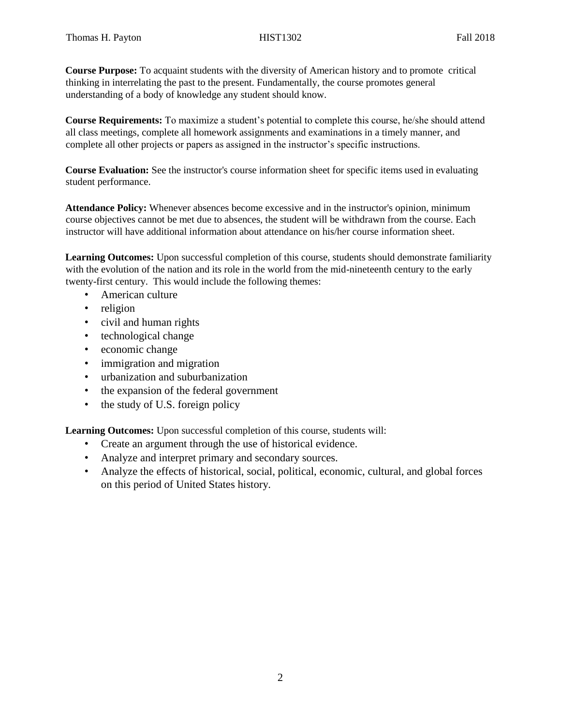**Course Purpose:** To acquaint students with the diversity of American history and to promote critical thinking in interrelating the past to the present. Fundamentally, the course promotes general understanding of a body of knowledge any student should know.

**Course Requirements:** To maximize a student's potential to complete this course, he/she should attend all class meetings, complete all homework assignments and examinations in a timely manner, and complete all other projects or papers as assigned in the instructor's specific instructions.

**Course Evaluation:** See the instructor's course information sheet for specific items used in evaluating student performance.

**Attendance Policy:** Whenever absences become excessive and in the instructor's opinion, minimum course objectives cannot be met due to absences, the student will be withdrawn from the course. Each instructor will have additional information about attendance on his/her course information sheet.

**Learning Outcomes:** Upon successful completion of this course, students should demonstrate familiarity with the evolution of the nation and its role in the world from the mid-nineteenth century to the early twenty-first century. This would include the following themes:

- American culture
- religion
- civil and human rights
- technological change
- economic change
- immigration and migration
- urbanization and suburbanization
- the expansion of the federal government
- the study of U.S. foreign policy

**Learning Outcomes:** Upon successful completion of this course, students will:

- Create an argument through the use of historical evidence.
- Analyze and interpret primary and secondary sources.
- Analyze the effects of historical, social, political, economic, cultural, and global forces on this period of United States history.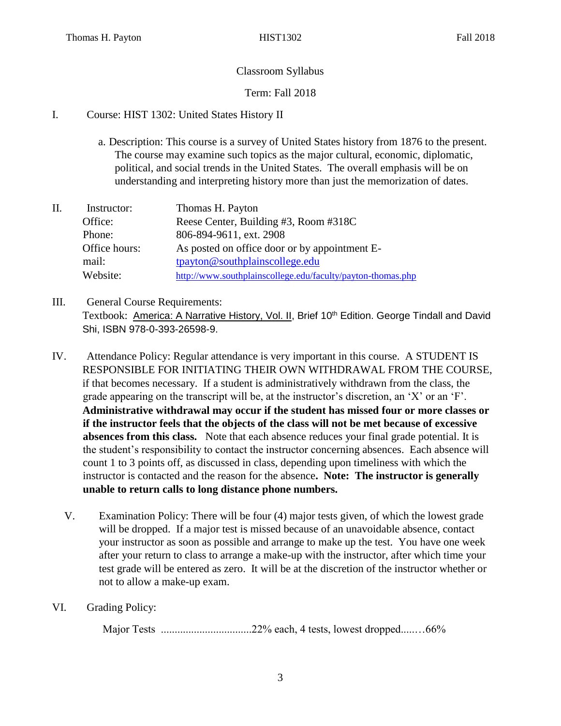# Classroom Syllabus

# Term: Fall 2018

# I. Course: HIST 1302: United States History II

- a. Description: This course is a survey of United States history from 1876 to the present. The course may examine such topics as the major cultural, economic, diplomatic, political, and social trends in the United States. The overall emphasis will be on understanding and interpreting history more than just the memorization of dates.
- II. Instructor: Thomas H. Payton Office: Reese Center, Building #3, Room #318C Phone: 806-894-9611, ext. 2908 Office hours: As posted on office door or by appointment Email: tpayton@southplainscollege.edu Website: <http://www.southplainscollege.edu/faculty/payton-thomas.php>
- III. General Course Requirements: Textbook: America: A Narrative History, Vol. II, Brief 10<sup>th</sup> Edition. George Tindall and David Shi, ISBN 978-0-393-26598-9.
- IV. Attendance Policy: Regular attendance is very important in this course. A STUDENT IS RESPONSIBLE FOR INITIATING THEIR OWN WITHDRAWAL FROM THE COURSE, if that becomes necessary. If a student is administratively withdrawn from the class, the grade appearing on the transcript will be, at the instructor's discretion, an 'X' or an 'F'. **Administrative withdrawal may occur if the student has missed four or more classes or if the instructor feels that the objects of the class will not be met because of excessive absences from this class.** Note that each absence reduces your final grade potential. It is the student's responsibility to contact the instructor concerning absences. Each absence will count 1 to 3 points off, as discussed in class, depending upon timeliness with which the instructor is contacted and the reason for the absence**. Note: The instructor is generally unable to return calls to long distance phone numbers.** 
	- V. Examination Policy: There will be four (4) major tests given, of which the lowest grade will be dropped. If a major test is missed because of an unavoidable absence, contact your instructor as soon as possible and arrange to make up the test. You have one week after your return to class to arrange a make-up with the instructor, after which time your test grade will be entered as zero. It will be at the discretion of the instructor whether or not to allow a make-up exam.
- VI. Grading Policy:

Major Tests .................................22% each, 4 tests, lowest dropped.....…66%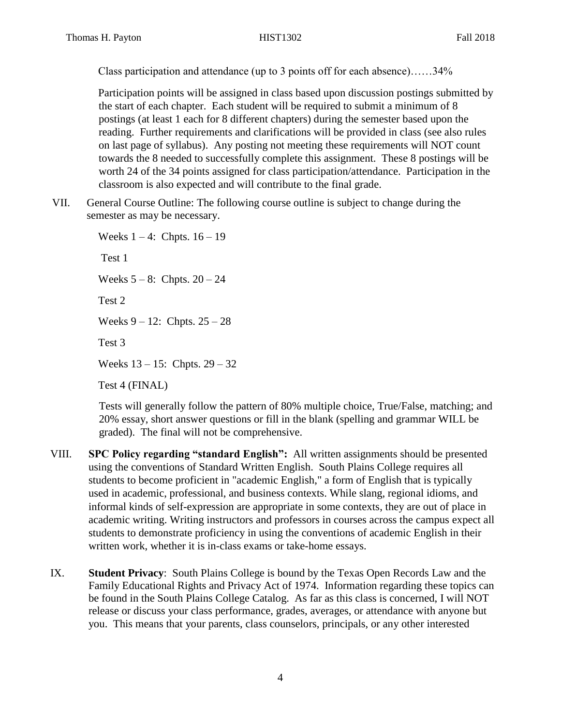Class participation and attendance (up to 3 points off for each absence)……34%

Participation points will be assigned in class based upon discussion postings submitted by the start of each chapter. Each student will be required to submit a minimum of 8 postings (at least 1 each for 8 different chapters) during the semester based upon the reading. Further requirements and clarifications will be provided in class (see also rules on last page of syllabus). Any posting not meeting these requirements will NOT count towards the 8 needed to successfully complete this assignment. These 8 postings will be worth 24 of the 34 points assigned for class participation/attendance. Participation in the classroom is also expected and will contribute to the final grade.

VII. General Course Outline: The following course outline is subject to change during the semester as may be necessary.

> Weeks  $1 - 4$ : Chpts.  $16 - 19$ Test 1 Weeks  $5 - 8$ : Chpts.  $20 - 24$ Test 2 Weeks  $9 - 12$ : Chpts.  $25 - 28$ Test 3 Weeks 13 – 15: Chpts. 29 – 32

Test 4 (FINAL)

Tests will generally follow the pattern of 80% multiple choice, True/False, matching; and 20% essay, short answer questions or fill in the blank (spelling and grammar WILL be graded). The final will not be comprehensive.

- VIII. **SPC Policy regarding "standard English":** All written assignments should be presented using the conventions of Standard Written English. South Plains College requires all students to become proficient in "academic English," a form of English that is typically used in academic, professional, and business contexts. While slang, regional idioms, and informal kinds of self-expression are appropriate in some contexts, they are out of place in academic writing. Writing instructors and professors in courses across the campus expect all students to demonstrate proficiency in using the conventions of academic English in their written work, whether it is in-class exams or take-home essays.
- IX. **Student Privacy**: South Plains College is bound by the Texas Open Records Law and the Family Educational Rights and Privacy Act of 1974. Information regarding these topics can be found in the South Plains College Catalog. As far as this class is concerned, I will NOT release or discuss your class performance, grades, averages, or attendance with anyone but you. This means that your parents, class counselors, principals, or any other interested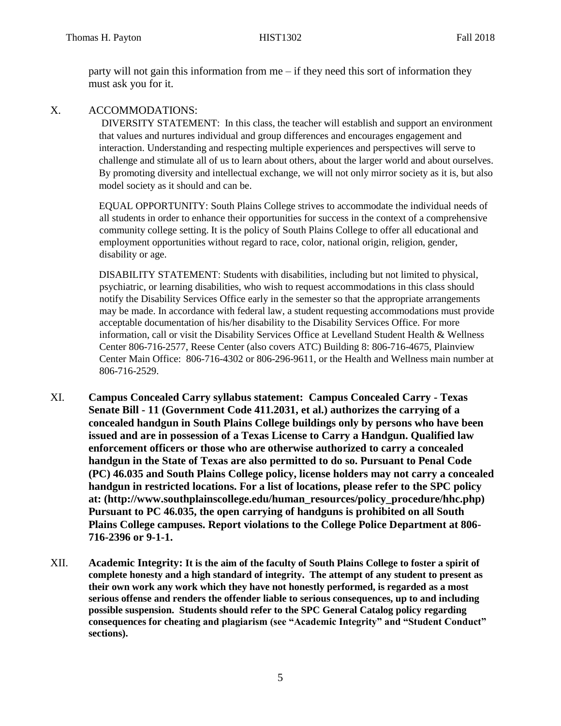party will not gain this information from me – if they need this sort of information they must ask you for it.

### X. ACCOMMODATIONS:

DIVERSITY STATEMENT: In this class, the teacher will establish and support an environment that values and nurtures individual and group differences and encourages engagement and interaction. Understanding and respecting multiple experiences and perspectives will serve to challenge and stimulate all of us to learn about others, about the larger world and about ourselves. By promoting diversity and intellectual exchange, we will not only mirror society as it is, but also model society as it should and can be.

EQUAL OPPORTUNITY: South Plains College strives to accommodate the individual needs of all students in order to enhance their opportunities for success in the context of a comprehensive community college setting. It is the policy of South Plains College to offer all educational and employment opportunities without regard to race, color, national origin, religion, gender, disability or age.

DISABILITY STATEMENT: Students with disabilities, including but not limited to physical, psychiatric, or learning disabilities, who wish to request accommodations in this class should notify the Disability Services Office early in the semester so that the appropriate arrangements may be made. In accordance with federal law, a student requesting accommodations must provide acceptable documentation of his/her disability to the Disability Services Office. For more information, call or visit the Disability Services Office at Levelland Student Health & Wellness Center 806-716-2577, Reese Center (also covers ATC) Building 8: 806-716-4675, Plainview Center Main Office: 806-716-4302 or 806-296-9611, or the Health and Wellness main number at 806-716-2529.

- XI. **Campus Concealed Carry syllabus statement: Campus Concealed Carry - Texas Senate Bill - 11 (Government Code 411.2031, et al.) authorizes the carrying of a concealed handgun in South Plains College buildings only by persons who have been issued and are in possession of a Texas License to Carry a Handgun. Qualified law enforcement officers or those who are otherwise authorized to carry a concealed handgun in the State of Texas are also permitted to do so. Pursuant to Penal Code (PC) 46.035 and South Plains College policy, license holders may not carry a concealed handgun in restricted locations. For a list of locations, please refer to the SPC policy at: (http://www.southplainscollege.edu/human\_resources/policy\_procedure/hhc.php) Pursuant to PC 46.035, the open carrying of handguns is prohibited on all South Plains College campuses. Report violations to the College Police Department at 806- 716-2396 or 9-1-1.**
- XII. **Academic Integrity: It is the aim of the faculty of South Plains College to foster a spirit of complete honesty and a high standard of integrity. The attempt of any student to present as their own work any work which they have not honestly performed, is regarded as a most serious offense and renders the offender liable to serious consequences, up to and including possible suspension. Students should refer to the SPC General Catalog policy regarding consequences for cheating and plagiarism (see "Academic Integrity" and "Student Conduct" sections).**